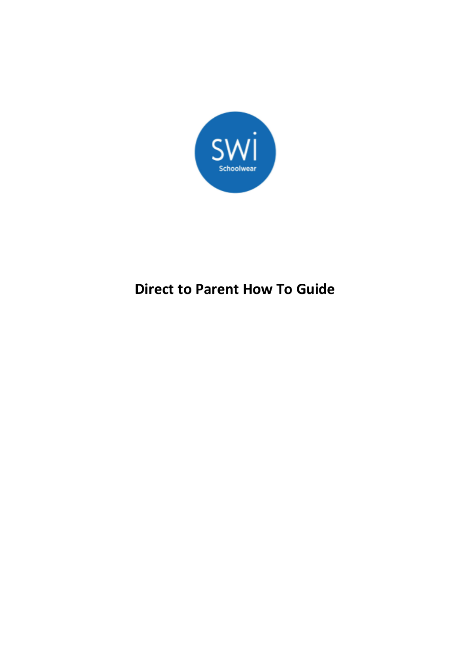

# **Direct to Parent How To Guide**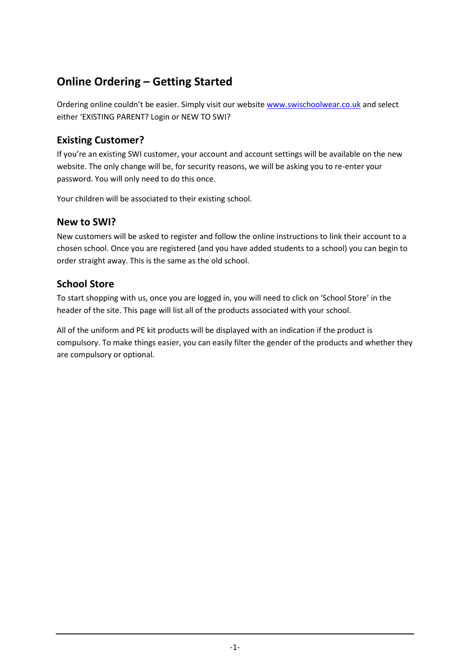# **Online Ordering – Getting Started**

Ordering online couldn't be easier. Simply visit our website [www.swischoolwear.co.uk](http://www.swischoolwear.co.uk/) and select either 'EXISTING PARENT? Login or NEW TO SWI?

### **Existing Customer?**

If you're an existing SWI customer, your account and account settings will be available on the new website. The only change will be, for security reasons, we will be asking you to re-enter your password. You will only need to do this once.

Your children will be associated to their existing school.

#### **New to SWI?**

New customers will be asked to register and follow the online instructions to link their account to a chosen school. Once you are registered (and you have added students to a school) you can begin to order straight away. This is the same as the old school.

#### **School Store**

To start shopping with us, once you are logged in, you will need to click on 'School Store' in the header of the site. This page will list all of the products associated with your school.

All of the uniform and PE kit products will be displayed with an indication if the product is compulsory. To make things easier, you can easily filter the gender of the products and whether they are compulsory or optional.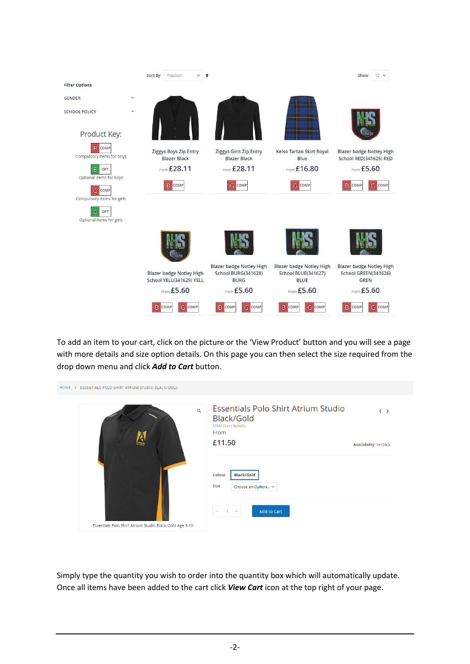|                                            |              | Sort By | Position                                                    | $\checkmark$ | $\bullet$                                            |                                         | Show<br>$12 \times$                                       |
|--------------------------------------------|--------------|---------|-------------------------------------------------------------|--------------|------------------------------------------------------|-----------------------------------------|-----------------------------------------------------------|
| <b>Filter Options</b>                      |              |         |                                                             |              |                                                      |                                         |                                                           |
| <b>GENDER</b>                              | $\check{ }$  |         |                                                             |              |                                                      |                                         |                                                           |
| <b>SCHOOL POLICY</b>                       | $\checkmark$ |         |                                                             |              |                                                      |                                         |                                                           |
| Product Key:                               |              |         |                                                             |              |                                                      |                                         |                                                           |
| <b>B</b> COMP<br>Compulsory items for boys |              |         | Ziggys Boys Zip Entry<br><b>Blazer Black</b>                |              | <b>Ziggys Girls Zip Entry</b><br><b>Blazer Black</b> | Kelso Tartan Skirt Royal<br><b>Blue</b> | <b>Blazer badge Notley High</b><br>School RED(341625) RED |
| B<br>OPT                                   |              |         | From £28.11                                                 |              | From £28.11                                          | From £16.80                             | From £5.60                                                |
| Optional items for boys<br>G<br>COMP       |              |         | B<br>COMP                                                   |              | <b>G</b> COMP                                        | COMP<br>G                               | <b>G</b> COMP<br>B<br>COMP                                |
| Compulsory items for girls                 |              |         |                                                             |              |                                                      |                                         |                                                           |
| G<br>OPT<br>Optional items for girls       |              |         |                                                             |              |                                                      |                                         |                                                           |
|                                            |              |         |                                                             |              |                                                      |                                         |                                                           |
|                                            |              |         |                                                             |              | <b>Blazer badge Notley High</b>                      | <b>Blazer badge Notley High</b>         | <b>Blazer badge Notley High</b>                           |
|                                            |              |         | <b>Blazer badge Notley High</b><br>School YELL(341629) YELL |              | School BURG(341628)<br><b>BURG</b>                   | School BLUE(341627)<br><b>BLUE</b>      | School GREEN(341626)<br><b>GREN</b>                       |
|                                            |              |         | From £5.60                                                  |              | From £5.60                                           | From £5.60                              | From £5.60                                                |
|                                            |              | B       | G COMP<br>COMP                                              |              | <b>G</b> COMP<br>B<br>COMP                           | G<br>B<br>COMP<br>COMP                  | G COMP<br>B<br>COMP                                       |

To add an item to your cart, click on the picture or the 'View Product' button and you will see a page with more details and size option details. On this page you can then select the size required from the drop down menu and click *Add to Cart* button.

| HOME ><br>ESSENTIALS POLO SHIRT ATRIUM STUDIO BLACK/GOLD |                                                                                |                        |
|----------------------------------------------------------|--------------------------------------------------------------------------------|------------------------|
| $\mathsf Q$                                              | Essentials Polo Shirt Atrium Studio<br>Black/Gold<br>ATRA112311-BLAGOL<br>From | $\langle \rangle$      |
|                                                          | £11.50<br><b>Black/Gold</b><br>Colour<br>Size<br>Choose an Option ~            | Availability: In stock |
| Essentials Polo Shirt Atrium Studio Black/Gold Age 9-10  | Add to Cart<br>- 40<br>$\mathbf{1}$<br>$\overline{\phantom{a}}$                |                        |

Simply type the quantity you wish to order into the quantity box which will automatically update. Once all items have been added to the cart click *View Cart* icon at the top right of your page.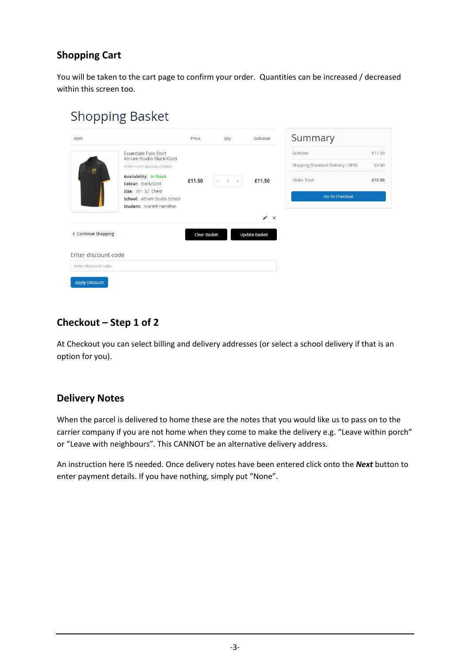### **Shopping Cart**

You will be taken to the cart page to confirm your order. Quantities can be increased / decreased within this screen too.

# **Shopping Basket**

| Item                                       |                                                                                                                                                                                                                                         | Price               | Qty                                             | Subtotal                                 | Summary                                                                                |                           |
|--------------------------------------------|-----------------------------------------------------------------------------------------------------------------------------------------------------------------------------------------------------------------------------------------|---------------------|-------------------------------------------------|------------------------------------------|----------------------------------------------------------------------------------------|---------------------------|
| Ņ                                          | <b>Essentials Polo Shirt</b><br>Atrium Studio Black/Gold<br>ATRA112311-BLAGOL-CH3032<br><b>Availability: In Stock</b><br>Colour: Black/Gold<br>Size: 30"-32" Chest<br>School: Atrium Studio School<br><b>Student: Scarlett Hamilton</b> | £11.50              | de.<br>$\mathbf{1}$<br>$\overline{\phantom{a}}$ | £11.50                                   | Subtotal<br>Shipping (Standard Delivery - DPD)<br>Order Total<br><b>Go To Checkout</b> | £11.50<br>£4.00<br>£15.50 |
| < Continue Shopping<br>Enter discount code |                                                                                                                                                                                                                                         | <b>Clear Basket</b> |                                                 | $\lambda \times$<br><b>Update Basket</b> |                                                                                        |                           |
| Enter discount code                        |                                                                                                                                                                                                                                         |                     |                                                 |                                          |                                                                                        |                           |
| <b>Apply Discount</b>                      |                                                                                                                                                                                                                                         |                     |                                                 |                                          |                                                                                        |                           |

#### **Checkout – Step 1 of 2**

At Checkout you can select billing and delivery addresses (or select a school delivery if that is an option for you).

#### **Delivery Notes**

When the parcel is delivered to home these are the notes that you would like us to pass on to the carrier company if you are not home when they come to make the delivery e.g. "Leave within porch" or "Leave with neighbours". This CANNOT be an alternative delivery address.

An instruction here IS needed. Once delivery notes have been entered click onto the *Next* button to enter payment details. If you have nothing, simply put "None".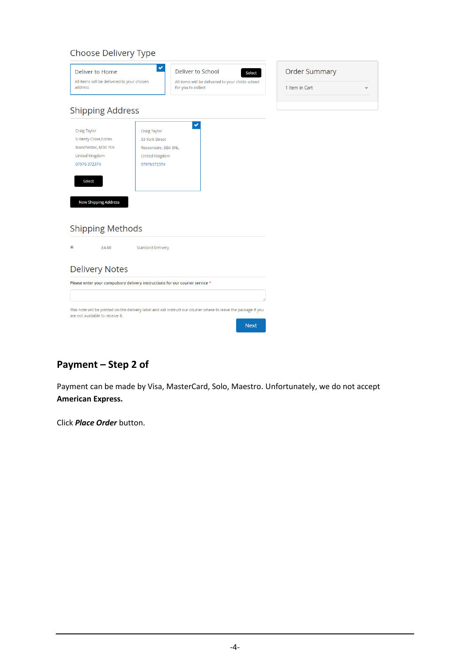#### Choose Delivery Type

| Deliver to Home<br>All items will be delivered to your chosen<br>address                                                                              | ✓                                                                                      | Deliver to School<br><b>Select</b><br>All items will be delivered to your childs school<br>for you to collect                  | <b>Order Summary</b><br>1 Item in Cart<br>$\checkmark$ |
|-------------------------------------------------------------------------------------------------------------------------------------------------------|----------------------------------------------------------------------------------------|--------------------------------------------------------------------------------------------------------------------------------|--------------------------------------------------------|
| <b>Shipping Address</b>                                                                                                                               |                                                                                        |                                                                                                                                |                                                        |
| <b>Craig Taylor</b><br>5 Henty Close, Eccles<br>Manchester, M30 7ER<br>United Kingdom<br>07976 372374<br><b>Select</b><br><b>New Shipping Address</b> | Craig Taylor<br>33 York Street<br>Rossendale, BB4 8NL<br>United Kingdom<br>07976372374 | $\checkmark$                                                                                                                   |                                                        |
| <b>Shipping Methods</b>                                                                                                                               |                                                                                        |                                                                                                                                |                                                        |
| $^{\circ}$<br>£4.00                                                                                                                                   | <b>Standard Delivery</b>                                                               |                                                                                                                                |                                                        |
| <b>Delivery Notes</b>                                                                                                                                 |                                                                                        |                                                                                                                                |                                                        |
| Please enter your compulsory delivery instructions for our courier service *                                                                          |                                                                                        |                                                                                                                                |                                                        |
|                                                                                                                                                       |                                                                                        |                                                                                                                                |                                                        |
| are not available to receive it.                                                                                                                      |                                                                                        | This note will be printed on the delivery label and will instruct our courier where to leave the package if you<br><b>Next</b> |                                                        |

## **Payment – Step 2 of**

Payment can be made by Visa, MasterCard, Solo, Maestro. Unfortunately, we do not accept **American Express.**

Click *Place Order* button.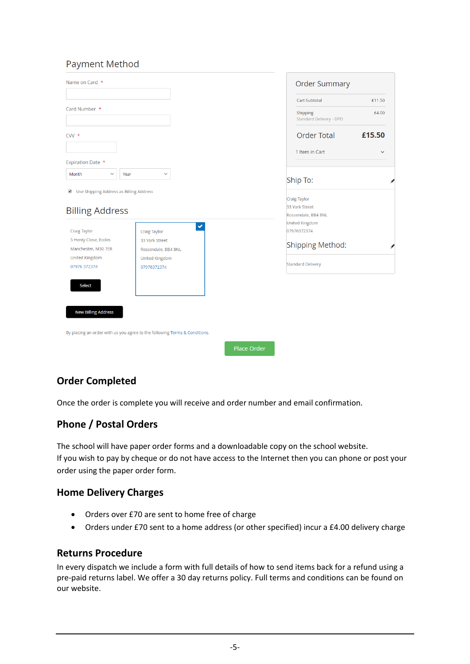#### **Payment Method**

| Name on Card *                                                                            |                                                                            |                    | <b>Order Summary</b>                                         |        |
|-------------------------------------------------------------------------------------------|----------------------------------------------------------------------------|--------------------|--------------------------------------------------------------|--------|
|                                                                                           |                                                                            |                    | Cart Subtotal                                                | £11.50 |
| Card Number *                                                                             |                                                                            |                    | Shipping<br><b>Standard Delivery - DPD</b>                   | £4.00  |
| $CVV$ $*$                                                                                 |                                                                            |                    | <b>Order Total</b>                                           | £15.50 |
|                                                                                           |                                                                            |                    | 1 Item in Cart                                               |        |
| <b>Expiration Date *</b>                                                                  |                                                                            |                    |                                                              |        |
| Month<br>$\checkmark$<br>Year                                                             | $\checkmark$                                                               |                    | Ship To:                                                     |        |
| Use Shipping Address as Billing Address<br>$\blacktriangledown$<br><b>Billing Address</b> |                                                                            |                    | <b>Craig Taylor</b><br>33 York Street<br>Rossendale, BB4 8NL |        |
| <b>Craig Taylor</b>                                                                       | $\checkmark$<br>Craig Taylor                                               |                    | <b>United Kingdom</b><br>07976372374                         |        |
| 5 Henty Close, Eccles<br>Manchester, M30 7ER                                              | 33 York Street<br>Rossendale, BB4 8NL                                      |                    | <b>Shipping Method:</b>                                      |        |
| <b>United Kingdom</b><br>07976 372374                                                     | <b>United Kingdom</b><br>07976372374                                       |                    | <b>Standard Delivery</b>                                     |        |
| <b>Select</b>                                                                             |                                                                            |                    |                                                              |        |
|                                                                                           |                                                                            |                    |                                                              |        |
| <b>New Billing Address</b>                                                                |                                                                            |                    |                                                              |        |
|                                                                                           | By placing an order with us you agree to the following Terms & Conditions. |                    |                                                              |        |
|                                                                                           |                                                                            | <b>Place Order</b> |                                                              |        |

## **Order Completed**

Once the order is complete you will receive and order number and email confirmation.

#### **Phone / Postal Orders**

The school will have paper order forms and a downloadable copy on the school website. If you wish to pay by cheque or do not have access to the Internet then you can phone or post your order using the paper order form.

#### **Home Delivery Charges**

- Orders over £70 are sent to home free of charge
- Orders under £70 sent to a home address (or other specified) incur a £4.00 delivery charge

#### **Returns Procedure**

In every dispatch we include a form with full details of how to send items back for a refund using a pre-paid returns label. We offer a 30 day returns policy. Full terms and conditions can be found on our website.